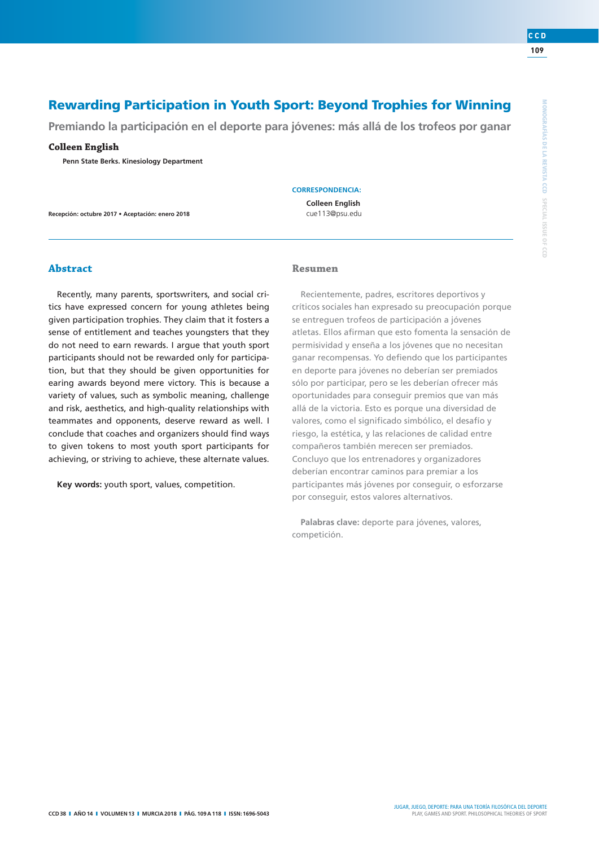$\supseteq$  $\Omega$ 

**109** 

**CCD**

# **Rewarding Participation in Youth Sport: Beyond Trophies for Winning**

**Premiando la participación en el deporte para jóvenes: más allá de los trofeos por ganar**

**Colleen English Penn State Berks. Kinesiology Department**

**Recepción: octubre 2017 • Aceptación: enero 2018**

**CORRESPONDENCIA:**

**Colleen English** cue113@psu.edu

# **Abstract**

Recently, many parents, sportswriters, and social critics have expressed concern for young athletes being given participation trophies. They claim that it fosters a sense of entitlement and teaches youngsters that they do not need to earn rewards. I argue that youth sport participants should not be rewarded only for participation, but that they should be given opportunities for earing awards beyond mere victory. This is because a variety of values, such as symbolic meaning, challenge and risk, aesthetics, and high-quality relationships with teammates and opponents, deserve reward as well. I conclude that coaches and organizers should find ways to given tokens to most youth sport participants for achieving, or striving to achieve, these alternate values.

**Key words:** youth sport, values, competition.

# Resumen

Recientemente, padres, escritores deportivos y críticos sociales han expresado su preocupación porque se entreguen trofeos de participación a jóvenes atletas. Ellos afirman que esto fomenta la sensación de permisividad y enseña a los jóvenes que no necesitan ganar recompensas. Yo defiendo que los participantes en deporte para jóvenes no deberían ser premiados sólo por participar, pero se les deberían ofrecer más oportunidades para conseguir premios que van más allá de la victoria. Esto es porque una diversidad de valores, como el significado simbólico, el desafío y riesgo, la estética, y las relaciones de calidad entre compañeros también merecen ser premiados. Concluyo que los entrenadores y organizadores deberían encontrar caminos para premiar a los participantes más jóvenes por conseguir, o esforzarse por conseguir, estos valores alternativos.

**Palabras clave:** deporte para jóvenes, valores, competición.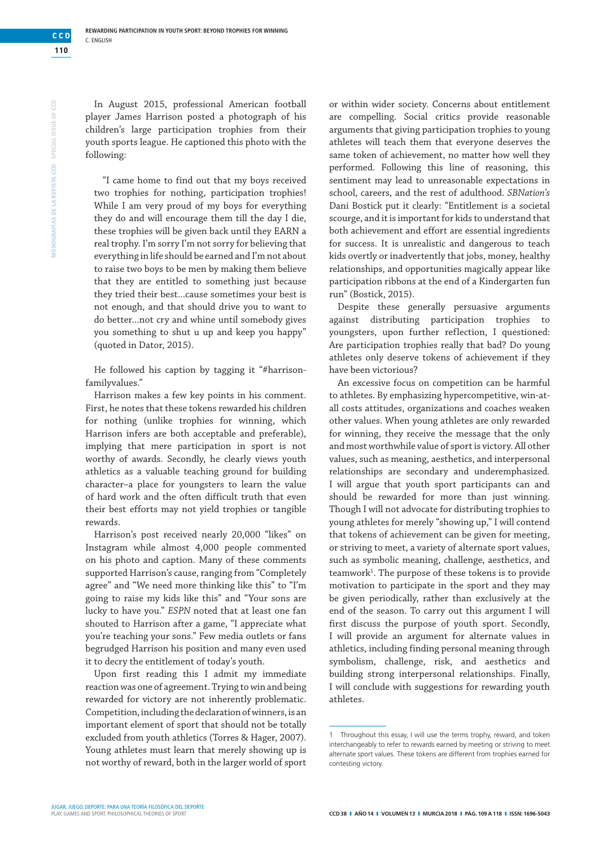In August 2015, professional American football player James Harrison posted a photograph of his children's large participation trophies from their youth sports league. He captioned this photo with the following:

"I came home to find out that my boys received two trophies for nothing, participation trophies! While I am very proud of my boys for everything they do and will encourage them till the day I die, these trophies will be given back until they EARN a real trophy. I'm sorry I'm not sorry for believing that everything in life should be earned and I'm not about to raise two boys to be men by making them believe that they are entitled to something just because they tried their best...cause sometimes your best is not enough, and that should drive you to want to do better...not cry and whine until somebody gives you something to shut u up and keep you happy" (quoted in Dator, 2015).

He followed his caption by tagging it "#harrisonfamilyvalues."

Harrison makes a few key points in his comment. First, he notes that these tokens rewarded his children for nothing (unlike trophies for winning, which Harrison infers are both acceptable and preferable), implying that mere participation in sport is not worthy of awards. Secondly, he clearly views youth athletics as a valuable teaching ground for building character–a place for youngsters to learn the value of hard work and the often difficult truth that even their best efforts may not yield trophies or tangible rewards.

Harrison's post received nearly 20,000 "likes" on Instagram while almost 4,000 people commented on his photo and caption. Many of these comments supported Harrison's cause, ranging from "Completely agree" and "We need more thinking like this" to "I'm going to raise my kids like this" and "Your sons are lucky to have you." *ESPN* noted that at least one fan shouted to Harrison after a game, "I appreciate what you're teaching your sons." Few media outlets or fans begrudged Harrison his position and many even used it to decry the entitlement of today's youth.

Upon first reading this I admit my immediate reaction was one of agreement. Trying to win and being rewarded for victory are not inherently problematic. Competition, including the declaration of winners, is an important element of sport that should not be totally excluded from youth athletics (Torres & Hager, 2007). Young athletes must learn that merely showing up is not worthy of reward, both in the larger world of sport

or within wider society. Concerns about entitlement are compelling. Social critics provide reasonable arguments that giving participation trophies to young athletes will teach them that everyone deserves the same token of achievement, no matter how well they performed. Following this line of reasoning, this sentiment may lead to unreasonable expectations in school, careers, and the rest of adulthood. *SBNation's*  Dani Bostick put it clearly: "Entitlement is a societal scourge, and it is important for kids to understand that both achievement and effort are essential ingredients for success. It is unrealistic and dangerous to teach kids overtly or inadvertently that jobs, money, healthy relationships, and opportunities magically appear like participation ribbons at the end of a Kindergarten fun run" (Bostick, 2015).

Despite these generally persuasive arguments against distributing participation trophies to youngsters, upon further reflection, I questioned: Are participation trophies really that bad? Do young athletes only deserve tokens of achievement if they have been victorious?

An excessive focus on competition can be harmful to athletes. By emphasizing hypercompetitive, win-atall costs attitudes, organizations and coaches weaken other values. When young athletes are only rewarded for winning, they receive the message that the only and most worthwhile value of sport is victory. All other values, such as meaning, aesthetics, and interpersonal relationships are secondary and underemphasized. I will argue that youth sport participants can and should be rewarded for more than just winning. Though I will not advocate for distributing trophies to young athletes for merely "showing up," I will contend that tokens of achievement can be given for meeting, or striving to meet, a variety of alternate sport values, such as symbolic meaning, challenge, aesthetics, and teamwork<sup>1</sup>. The purpose of these tokens is to provide motivation to participate in the sport and they may be given periodically, rather than exclusively at the end of the season. To carry out this argument I will first discuss the purpose of youth sport. Secondly, I will provide an argument for alternate values in athletics, including finding personal meaning through symbolism, challenge, risk, and aesthetics and building strong interpersonal relationships. Finally, I will conclude with suggestions for rewarding youth athletes.

**110** 

**CCD**

<sup>1</sup> Throughout this essay, I will use the terms trophy, reward, and token interchangeably to refer to rewards earned by meeting or striving to meet alternate sport values. These tokens are different from trophies earned for contesting victory.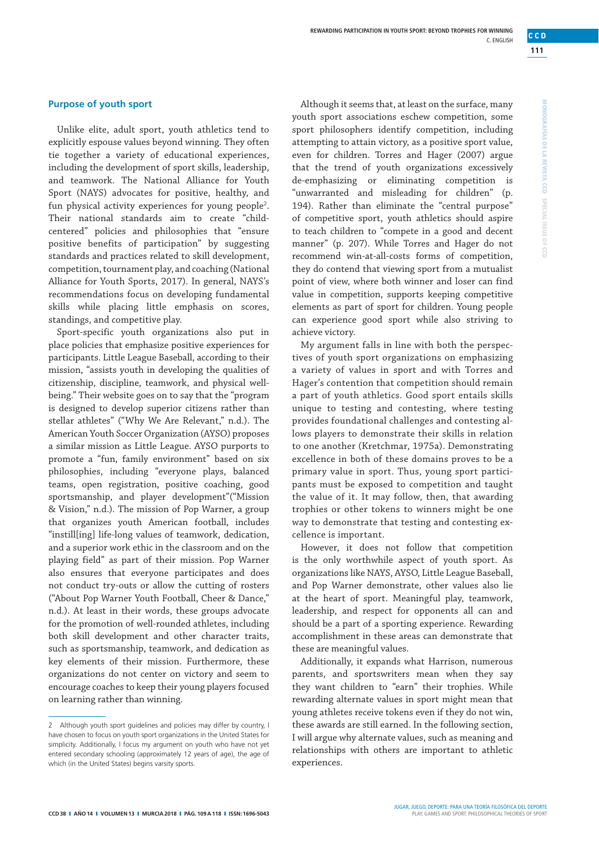**MONOGRAFÍAS DE LA REVISTA CCD**

MONOGRAFIAS DE LA REVISTA CCD SPECIAL ISSUE

**SPECIAL ISSUE OF CCD**

 $\frac{\bigcirc}{\Box}$  $\Omega$ 

# **Purpose of youth sport**

Unlike elite, adult sport, youth athletics tend to explicitly espouse values beyond winning. They often tie together a variety of educational experiences, including the development of sport skills, leadership, and teamwork. The National Alliance for Youth Sport (NAYS) advocates for positive, healthy, and fun physical activity experiences for young people<sup>2</sup>. Their national standards aim to create "childcentered" policies and philosophies that "ensure positive benefits of participation" by suggesting standards and practices related to skill development, competition, tournament play, and coaching (National Alliance for Youth Sports, 2017). In general, NAYS's recommendations focus on developing fundamental skills while placing little emphasis on scores, standings, and competitive play.

Sport-specific youth organizations also put in place policies that emphasize positive experiences for participants. Little League Baseball, according to their mission, "assists youth in developing the qualities of citizenship, discipline, teamwork, and physical wellbeing." Their website goes on to say that the "program is designed to develop superior citizens rather than stellar athletes" ("Why We Are Relevant," n.d.). The American Youth Soccer Organization (AYSO) proposes a similar mission as Little League. AYSO purports to promote a "fun, family environment" based on six philosophies, including "everyone plays, balanced teams, open registration, positive coaching, good sportsmanship, and player development"("Mission & Vision," n.d.). The mission of Pop Warner, a group that organizes youth American football, includes "instill[ing] life-long values of teamwork, dedication, and a superior work ethic in the classroom and on the playing field" as part of their mission. Pop Warner also ensures that everyone participates and does not conduct try-outs or allow the cutting of rosters ("About Pop Warner Youth Football, Cheer & Dance," n.d.). At least in their words, these groups advocate for the promotion of well-rounded athletes, including both skill development and other character traits, such as sportsmanship, teamwork, and dedication as key elements of their mission. Furthermore, these organizations do not center on victory and seem to encourage coaches to keep their young players focused on learning rather than winning.

Although it seems that, at least on the surface, many youth sport associations eschew competition, some sport philosophers identify competition, including attempting to attain victory, as a positive sport value, even for children. Torres and Hager (2007) argue that the trend of youth organizations excessively de-emphasizing or eliminating competition is "unwarranted and misleading for children" (p. 194). Rather than eliminate the "central purpose" of competitive sport, youth athletics should aspire to teach children to "compete in a good and decent manner" (p. 207). While Torres and Hager do not recommend win-at-all-costs forms of competition, they do contend that viewing sport from a mutualist point of view, where both winner and loser can find value in competition, supports keeping competitive elements as part of sport for children. Young people can experience good sport while also striving to achieve victory.

My argument falls in line with both the perspectives of youth sport organizations on emphasizing a variety of values in sport and with Torres and Hager's contention that competition should remain a part of youth athletics. Good sport entails skills unique to testing and contesting, where testing provides foundational challenges and contesting allows players to demonstrate their skills in relation to one another (Kretchmar, 1975a). Demonstrating excellence in both of these domains proves to be a primary value in sport. Thus, young sport participants must be exposed to competition and taught the value of it. It may follow, then, that awarding trophies or other tokens to winners might be one way to demonstrate that testing and contesting excellence is important.

However, it does not follow that competition is the only worthwhile aspect of youth sport. As organizations like NAYS, AYSO, Little League Baseball, and Pop Warner demonstrate, other values also lie at the heart of sport. Meaningful play, teamwork, leadership, and respect for opponents all can and should be a part of a sporting experience. Rewarding accomplishment in these areas can demonstrate that these are meaningful values.

Additionally, it expands what Harrison, numerous parents, and sportswriters mean when they say they want children to "earn" their trophies. While rewarding alternate values in sport might mean that young athletes receive tokens even if they do not win, these awards are still earned. In the following section, I will argue why alternate values, such as meaning and relationships with others are important to athletic experiences.

<sup>2</sup> Although youth sport guidelines and policies may differ by country, I have chosen to focus on youth sport organizations in the United States for simplicity. Additionally, I focus my argument on youth who have not yet entered secondary schooling (approximately 12 years of age), the age of which (in the United States) begins varsity sports.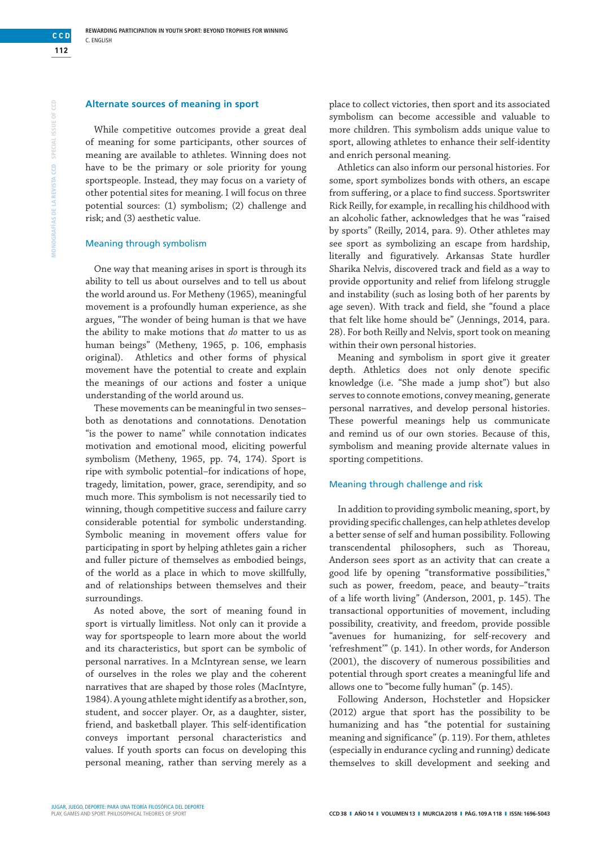# **Alternate sources of meaning in sport**

While competitive outcomes provide a great deal of meaning for some participants, other sources of meaning are available to athletes. Winning does not have to be the primary or sole priority for young sportspeople. Instead, they may focus on a variety of other potential sites for meaning. I will focus on three potential sources: (1) symbolism; (2) challenge and risk; and (3) aesthetic value.

#### Meaning through symbolism

One way that meaning arises in sport is through its ability to tell us about ourselves and to tell us about the world around us. For Metheny (1965), meaningful movement is a profoundly human experience, as she argues, "The wonder of being human is that we have the ability to make motions that *do* matter to us as human beings" (Metheny, 1965, p. 106, emphasis original). Athletics and other forms of physical movement have the potential to create and explain the meanings of our actions and foster a unique understanding of the world around us.

These movements can be meaningful in two senses– both as denotations and connotations. Denotation "is the power to name" while connotation indicates motivation and emotional mood, eliciting powerful symbolism (Metheny, 1965, pp. 74, 174). Sport is ripe with symbolic potential–for indications of hope, tragedy, limitation, power, grace, serendipity, and so much more. This symbolism is not necessarily tied to winning, though competitive success and failure carry considerable potential for symbolic understanding. Symbolic meaning in movement offers value for participating in sport by helping athletes gain a richer and fuller picture of themselves as embodied beings, of the world as a place in which to move skillfully, and of relationships between themselves and their surroundings.

As noted above, the sort of meaning found in sport is virtually limitless. Not only can it provide a way for sportspeople to learn more about the world and its characteristics, but sport can be symbolic of personal narratives. In a McIntyrean sense, we learn of ourselves in the roles we play and the coherent narratives that are shaped by those roles (MacIntyre, 1984). A young athlete might identify as a brother, son, student, and soccer player. Or, as a daughter, sister, friend, and basketball player. This self-identification conveys important personal characteristics and values. If youth sports can focus on developing this personal meaning, rather than serving merely as a place to collect victories, then sport and its associated symbolism can become accessible and valuable to more children. This symbolism adds unique value to sport, allowing athletes to enhance their self-identity and enrich personal meaning.

Athletics can also inform our personal histories. For some, sport symbolizes bonds with others, an escape from suffering, or a place to find success. Sportswriter Rick Reilly, for example, in recalling his childhood with an alcoholic father, acknowledges that he was "raised by sports" (Reilly, 2014, para. 9). Other athletes may see sport as symbolizing an escape from hardship, literally and figuratively. Arkansas State hurdler Sharika Nelvis, discovered track and field as a way to provide opportunity and relief from lifelong struggle and instability (such as losing both of her parents by age seven). With track and field, she "found a place that felt like home should be" (Jennings, 2014, para. 28). For both Reilly and Nelvis, sport took on meaning within their own personal histories.

Meaning and symbolism in sport give it greater depth. Athletics does not only denote specific knowledge (i.e. "She made a jump shot") but also serves to connote emotions, convey meaning, generate personal narratives, and develop personal histories. These powerful meanings help us communicate and remind us of our own stories. Because of this, symbolism and meaning provide alternate values in sporting competitions.

#### Meaning through challenge and risk

In addition to providing symbolic meaning, sport, by providing specific challenges, can help athletes develop a better sense of self and human possibility. Following transcendental philosophers, such as Thoreau, Anderson sees sport as an activity that can create a good life by opening "transformative possibilities," such as power, freedom, peace, and beauty–"traits of a life worth living" (Anderson, 2001, p. 145). The transactional opportunities of movement, including possibility, creativity, and freedom, provide possible "avenues for humanizing, for self-recovery and 'refreshment'" (p. 141). In other words, for Anderson (2001), the discovery of numerous possibilities and potential through sport creates a meaningful life and allows one to "become fully human" (p. 145).

Following Anderson, Hochstetler and Hopsicker (2012) argue that sport has the possibility to be humanizing and has "the potential for sustaining meaning and significance" (p. 119). For them, athletes (especially in endurance cycling and running) dedicate themselves to skill development and seeking and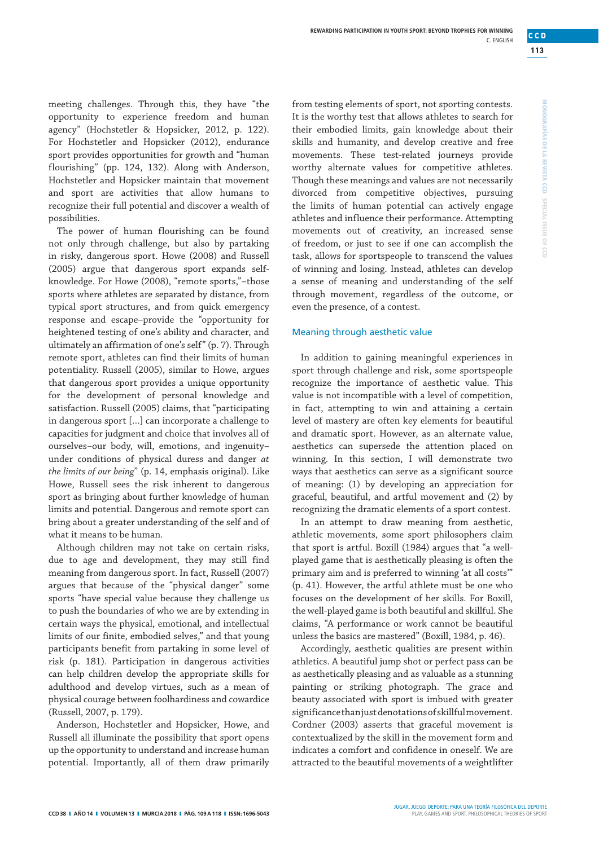**MONOGRAFÍAS DE LA REVISTA CCD**

MONOGRAFÍAS DE LA REVISTA CCD SPECIAL ISSUE

**SPECIAL ISSUE OF CCD**

 $\frac{\bigcirc}{\Box}$  $\Omega$ 

meeting challenges. Through this, they have "the opportunity to experience freedom and human agency" (Hochstetler & Hopsicker, 2012, p. 122). For Hochstetler and Hopsicker (2012), endurance sport provides opportunities for growth and "human flourishing" (pp. 124, 132). Along with Anderson, Hochstetler and Hopsicker maintain that movement and sport are activities that allow humans to recognize their full potential and discover a wealth of possibilities.

The power of human flourishing can be found not only through challenge, but also by partaking in risky, dangerous sport. Howe (2008) and Russell (2005) argue that dangerous sport expands selfknowledge. For Howe (2008), "remote sports,"–those sports where athletes are separated by distance, from typical sport structures, and from quick emergency response and escape–provide the "opportunity for heightened testing of one's ability and character, and ultimately an affirmation of one's self" (p. 7). Through remote sport, athletes can find their limits of human potentiality. Russell (2005), similar to Howe, argues that dangerous sport provides a unique opportunity for the development of personal knowledge and satisfaction. Russell (2005) claims, that "participating in dangerous sport […] can incorporate a challenge to capacities for judgment and choice that involves all of ourselves–our body, will, emotions, and ingenuity– under conditions of physical duress and danger *at the limits of our being*" (p. 14, emphasis original). Like Howe, Russell sees the risk inherent to dangerous sport as bringing about further knowledge of human limits and potential. Dangerous and remote sport can bring about a greater understanding of the self and of what it means to be human.

Although children may not take on certain risks, due to age and development, they may still find meaning from dangerous sport. In fact, Russell (2007) argues that because of the "physical danger" some sports "have special value because they challenge us to push the boundaries of who we are by extending in certain ways the physical, emotional, and intellectual limits of our finite, embodied selves," and that young participants benefit from partaking in some level of risk (p. 181). Participation in dangerous activities can help children develop the appropriate skills for adulthood and develop virtues, such as a mean of physical courage between foolhardiness and cowardice (Russell, 2007, p. 179).

Anderson, Hochstetler and Hopsicker, Howe, and Russell all illuminate the possibility that sport opens up the opportunity to understand and increase human potential. Importantly, all of them draw primarily

from testing elements of sport, not sporting contests. It is the worthy test that allows athletes to search for their embodied limits, gain knowledge about their skills and humanity, and develop creative and free movements. These test-related journeys provide worthy alternate values for competitive athletes. Though these meanings and values are not necessarily divorced from competitive objectives, pursuing the limits of human potential can actively engage athletes and influence their performance. Attempting movements out of creativity, an increased sense of freedom, or just to see if one can accomplish the task, allows for sportspeople to transcend the values of winning and losing. Instead, athletes can develop a sense of meaning and understanding of the self through movement, regardless of the outcome, or even the presence, of a contest.

### Meaning through aesthetic value

In addition to gaining meaningful experiences in sport through challenge and risk, some sportspeople recognize the importance of aesthetic value. This value is not incompatible with a level of competition, in fact, attempting to win and attaining a certain level of mastery are often key elements for beautiful and dramatic sport. However, as an alternate value, aesthetics can supersede the attention placed on winning. In this section, I will demonstrate two ways that aesthetics can serve as a significant source of meaning: (1) by developing an appreciation for graceful, beautiful, and artful movement and (2) by recognizing the dramatic elements of a sport contest.

In an attempt to draw meaning from aesthetic, athletic movements, some sport philosophers claim that sport is artful. Boxill (1984) argues that "a wellplayed game that is aesthetically pleasing is often the primary aim and is preferred to winning 'at all costs'" (p. 41). However, the artful athlete must be one who focuses on the development of her skills. For Boxill, the well-played game is both beautiful and skillful. She claims, "A performance or work cannot be beautiful unless the basics are mastered" (Boxill, 1984, p. 46).

Accordingly, aesthetic qualities are present within athletics. A beautiful jump shot or perfect pass can be as aesthetically pleasing and as valuable as a stunning painting or striking photograph. The grace and beauty associated with sport is imbued with greater significance than just denotations of skillful movement. Cordner (2003) asserts that graceful movement is contextualized by the skill in the movement form and indicates a comfort and confidence in oneself. We are attracted to the beautiful movements of a weightlifter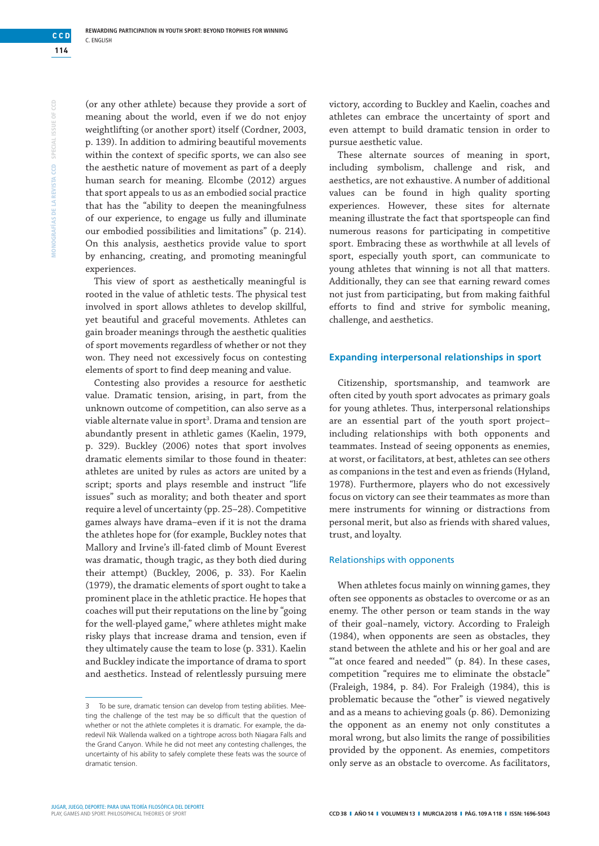(or any other athlete) because they provide a sort of meaning about the world, even if we do not enjoy weightlifting (or another sport) itself (Cordner, 2003, p. 139). In addition to admiring beautiful movements within the context of specific sports, we can also see the aesthetic nature of movement as part of a deeply human search for meaning. Elcombe (2012) argues that sport appeals to us as an embodied social practice that has the "ability to deepen the meaningfulness of our experience, to engage us fully and illuminate our embodied possibilities and limitations" (p. 214). On this analysis, aesthetics provide value to sport by enhancing, creating, and promoting meaningful experiences.

This view of sport as aesthetically meaningful is rooted in the value of athletic tests. The physical test involved in sport allows athletes to develop skillful, yet beautiful and graceful movements. Athletes can gain broader meanings through the aesthetic qualities of sport movements regardless of whether or not they won. They need not excessively focus on contesting elements of sport to find deep meaning and value.

Contesting also provides a resource for aesthetic value. Dramatic tension, arising, in part, from the unknown outcome of competition, can also serve as a viable alternate value in sport<sup>3</sup>. Drama and tension are abundantly present in athletic games (Kaelin, 1979, p. 329). Buckley (2006) notes that sport involves dramatic elements similar to those found in theater: athletes are united by rules as actors are united by a script; sports and plays resemble and instruct "life issues" such as morality; and both theater and sport require a level of uncertainty (pp. 25–28). Competitive games always have drama–even if it is not the drama the athletes hope for (for example, Buckley notes that Mallory and Irvine's ill-fated climb of Mount Everest was dramatic, though tragic, as they both died during their attempt) (Buckley, 2006, p. 33). For Kaelin (1979), the dramatic elements of sport ought to take a prominent place in the athletic practice. He hopes that coaches will put their reputations on the line by "going for the well-played game," where athletes might make risky plays that increase drama and tension, even if they ultimately cause the team to lose (p. 331). Kaelin and Buckley indicate the importance of drama to sport and aesthetics. Instead of relentlessly pursuing mere

victory, according to Buckley and Kaelin, coaches and athletes can embrace the uncertainty of sport and even attempt to build dramatic tension in order to pursue aesthetic value.

These alternate sources of meaning in sport, including symbolism, challenge and risk, and aesthetics, are not exhaustive. A number of additional values can be found in high quality sporting experiences. However, these sites for alternate meaning illustrate the fact that sportspeople can find numerous reasons for participating in competitive sport. Embracing these as worthwhile at all levels of sport, especially youth sport, can communicate to young athletes that winning is not all that matters. Additionally, they can see that earning reward comes not just from participating, but from making faithful efforts to find and strive for symbolic meaning, challenge, and aesthetics.

### **Expanding interpersonal relationships in sport**

Citizenship, sportsmanship, and teamwork are often cited by youth sport advocates as primary goals for young athletes. Thus, interpersonal relationships are an essential part of the youth sport project– including relationships with both opponents and teammates. Instead of seeing opponents as enemies, at worst, or facilitators, at best, athletes can see others as companions in the test and even as friends (Hyland, 1978). Furthermore, players who do not excessively focus on victory can see their teammates as more than mere instruments for winning or distractions from personal merit, but also as friends with shared values, trust, and loyalty.

#### Relationships with opponents

When athletes focus mainly on winning games, they often see opponents as obstacles to overcome or as an enemy. The other person or team stands in the way of their goal–namely, victory. According to Fraleigh (1984), when opponents are seen as obstacles, they stand between the athlete and his or her goal and are "at once feared and needed" (p. 84). In these cases, competition "requires me to eliminate the obstacle" (Fraleigh, 1984, p. 84). For Fraleigh (1984), this is problematic because the "other" is viewed negatively and as a means to achieving goals (p. 86). Demonizing the opponent as an enemy not only constitutes a moral wrong, but also limits the range of possibilities provided by the opponent. As enemies, competitors only serve as an obstacle to overcome. As facilitators,

**114** 

**CCD**

<sup>3</sup> To be sure, dramatic tension can develop from testing abilities. Meeting the challenge of the test may be so difficult that the question of whether or not the athlete completes it is dramatic. For example, the daredevil Nik Wallenda walked on a tightrope across both Niagara Falls and the Grand Canyon. While he did not meet any contesting challenges, the uncertainty of his ability to safely complete these feats was the source of dramatic tension.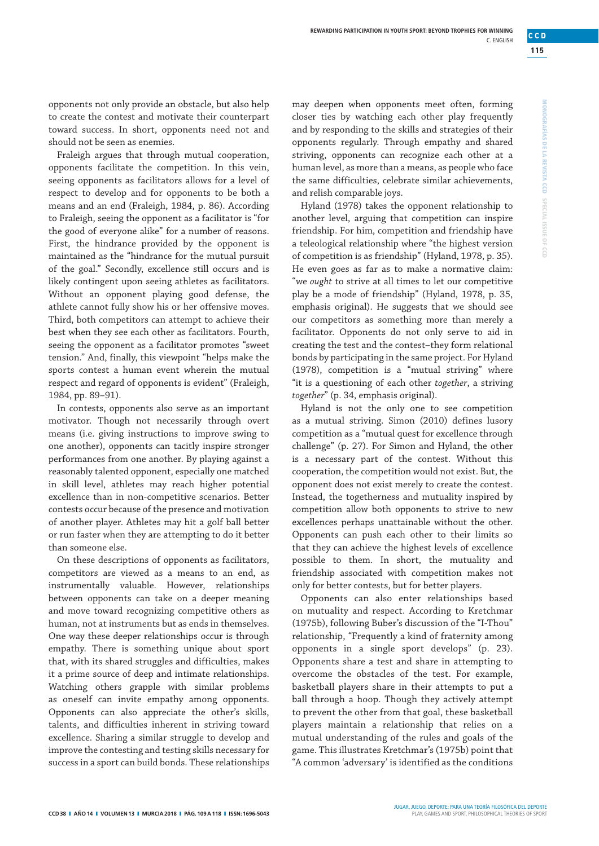opponents not only provide an obstacle, but also help to create the contest and motivate their counterpart toward success. In short, opponents need not and should not be seen as enemies.

Fraleigh argues that through mutual cooperation, opponents facilitate the competition. In this vein, seeing opponents as facilitators allows for a level of respect to develop and for opponents to be both a means and an end (Fraleigh, 1984, p. 86). According to Fraleigh, seeing the opponent as a facilitator is "for the good of everyone alike" for a number of reasons. First, the hindrance provided by the opponent is maintained as the "hindrance for the mutual pursuit of the goal." Secondly, excellence still occurs and is likely contingent upon seeing athletes as facilitators. Without an opponent playing good defense, the athlete cannot fully show his or her offensive moves. Third, both competitors can attempt to achieve their best when they see each other as facilitators. Fourth, seeing the opponent as a facilitator promotes "sweet tension." And, finally, this viewpoint "helps make the sports contest a human event wherein the mutual respect and regard of opponents is evident" (Fraleigh, 1984, pp. 89–91).

In contests, opponents also serve as an important motivator. Though not necessarily through overt means (i.e. giving instructions to improve swing to one another), opponents can tacitly inspire stronger performances from one another. By playing against a reasonably talented opponent, especially one matched in skill level, athletes may reach higher potential excellence than in non-competitive scenarios. Better contests occur because of the presence and motivation of another player. Athletes may hit a golf ball better or run faster when they are attempting to do it better than someone else.

On these descriptions of opponents as facilitators, competitors are viewed as a means to an end, as instrumentally valuable. However, relationships between opponents can take on a deeper meaning and move toward recognizing competitive others as human, not at instruments but as ends in themselves. One way these deeper relationships occur is through empathy. There is something unique about sport that, with its shared struggles and difficulties, makes it a prime source of deep and intimate relationships. Watching others grapple with similar problems as oneself can invite empathy among opponents. Opponents can also appreciate the other's skills, talents, and difficulties inherent in striving toward excellence. Sharing a similar struggle to develop and improve the contesting and testing skills necessary for success in a sport can build bonds. These relationships

may deepen when opponents meet often, forming closer ties by watching each other play frequently and by responding to the skills and strategies of their opponents regularly. Through empathy and shared striving, opponents can recognize each other at a human level, as more than a means, as people who face the same difficulties, celebrate similar achievements, and relish comparable joys.

Hyland (1978) takes the opponent relationship to another level, arguing that competition can inspire friendship. For him, competition and friendship have a teleological relationship where "the highest version of competition is as friendship" (Hyland, 1978, p. 35). He even goes as far as to make a normative claim: "we *ought* to strive at all times to let our competitive play be a mode of friendship" (Hyland, 1978, p. 35, emphasis original). He suggests that we should see our competitors as something more than merely a facilitator. Opponents do not only serve to aid in creating the test and the contest–they form relational bonds by participating in the same project. For Hyland (1978), competition is a "mutual striving" where "it is a questioning of each other *together*, a striving *together*" (p. 34, emphasis original).

Hyland is not the only one to see competition as a mutual striving. Simon (2010) defines lusory competition as a "mutual quest for excellence through challenge" (p. 27). For Simon and Hyland, the other is a necessary part of the contest. Without this cooperation, the competition would not exist. But, the opponent does not exist merely to create the contest. Instead, the togetherness and mutuality inspired by competition allow both opponents to strive to new excellences perhaps unattainable without the other. Opponents can push each other to their limits so that they can achieve the highest levels of excellence possible to them. In short, the mutuality and friendship associated with competition makes not only for better contests, but for better players.

Opponents can also enter relationships based on mutuality and respect. According to Kretchmar (1975b), following Buber's discussion of the "I-Thou" relationship, "Frequently a kind of fraternity among opponents in a single sport develops" (p. 23). Opponents share a test and share in attempting to overcome the obstacles of the test. For example, basketball players share in their attempts to put a ball through a hoop. Though they actively attempt to prevent the other from that goal, these basketball players maintain a relationship that relies on a mutual understanding of the rules and goals of the game. This illustrates Kretchmar's (1975b) point that "A common 'adversary' is identified as the conditions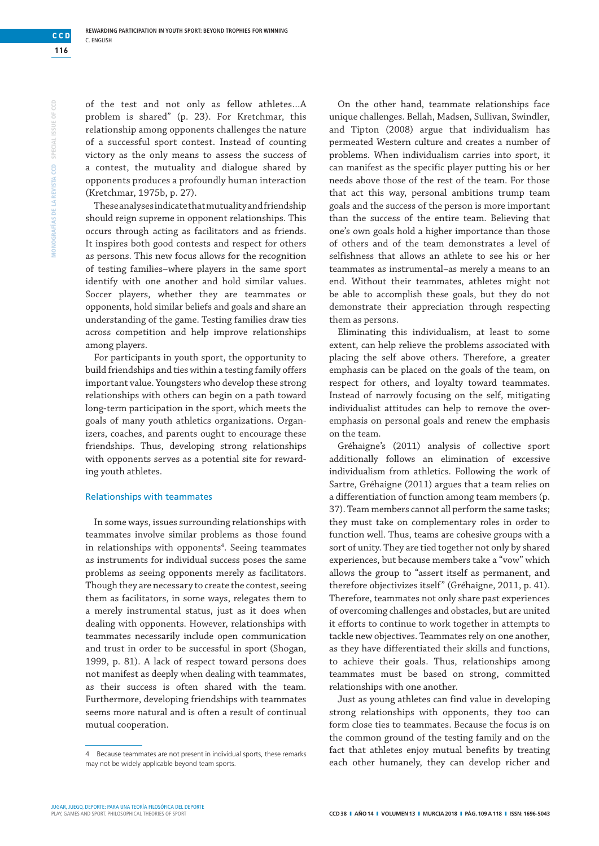of the test and not only as fellow athletes…A problem is shared" (p. 23). For Kretchmar, this relationship among opponents challenges the nature of a successful sport contest. Instead of counting victory as the only means to assess the success of a contest, the mutuality and dialogue shared by opponents produces a profoundly human interaction (Kretchmar, 1975b, p. 27).

These analyses indicate that mutuality and friendship should reign supreme in opponent relationships. This occurs through acting as facilitators and as friends. It inspires both good contests and respect for others as persons. This new focus allows for the recognition of testing families–where players in the same sport identify with one another and hold similar values. Soccer players, whether they are teammates or opponents, hold similar beliefs and goals and share an understanding of the game. Testing families draw ties across competition and help improve relationships among players.

For participants in youth sport, the opportunity to build friendships and ties within a testing family offers important value. Youngsters who develop these strong relationships with others can begin on a path toward long-term participation in the sport, which meets the goals of many youth athletics organizations. Organizers, coaches, and parents ought to encourage these friendships. Thus, developing strong relationships with opponents serves as a potential site for rewarding youth athletes.

#### Relationships with teammates

In some ways, issues surrounding relationships with teammates involve similar problems as those found in relationships with opponents<sup>4</sup>. Seeing teammates as instruments for individual success poses the same problems as seeing opponents merely as facilitators. Though they are necessary to create the contest, seeing them as facilitators, in some ways, relegates them to a merely instrumental status, just as it does when dealing with opponents. However, relationships with teammates necessarily include open communication and trust in order to be successful in sport (Shogan, 1999, p. 81). A lack of respect toward persons does not manifest as deeply when dealing with teammates, as their success is often shared with the team. Furthermore, developing friendships with teammates seems more natural and is often a result of continual mutual cooperation.

On the other hand, teammate relationships face unique challenges. Bellah, Madsen, Sullivan, Swindler, and Tipton (2008) argue that individualism has permeated Western culture and creates a number of problems. When individualism carries into sport, it can manifest as the specific player putting his or her needs above those of the rest of the team. For those that act this way, personal ambitions trump team goals and the success of the person is more important than the success of the entire team. Believing that one's own goals hold a higher importance than those of others and of the team demonstrates a level of selfishness that allows an athlete to see his or her teammates as instrumental–as merely a means to an end. Without their teammates, athletes might not be able to accomplish these goals, but they do not demonstrate their appreciation through respecting them as persons.

Eliminating this individualism, at least to some extent, can help relieve the problems associated with placing the self above others. Therefore, a greater emphasis can be placed on the goals of the team, on respect for others, and loyalty toward teammates. Instead of narrowly focusing on the self, mitigating individualist attitudes can help to remove the overemphasis on personal goals and renew the emphasis on the team.

Gréhaigne's (2011) analysis of collective sport additionally follows an elimination of excessive individualism from athletics. Following the work of Sartre, Gréhaigne (2011) argues that a team relies on a differentiation of function among team members (p. 37). Team members cannot all perform the same tasks; they must take on complementary roles in order to function well. Thus, teams are cohesive groups with a sort of unity. They are tied together not only by shared experiences, but because members take a "vow" which allows the group to "assert itself as permanent, and therefore objectivizes itself" (Gréhaigne, 2011, p. 41). Therefore, teammates not only share past experiences of overcoming challenges and obstacles, but are united it efforts to continue to work together in attempts to tackle new objectives. Teammates rely on one another, as they have differentiated their skills and functions, to achieve their goals. Thus, relationships among teammates must be based on strong, committed relationships with one another.

Just as young athletes can find value in developing strong relationships with opponents, they too can form close ties to teammates. Because the focus is on the common ground of the testing family and on the fact that athletes enjoy mutual benefits by treating each other humanely, they can develop richer and

<sup>4</sup> Because teammates are not present in individual sports, these remarks may not be widely applicable beyond team sports.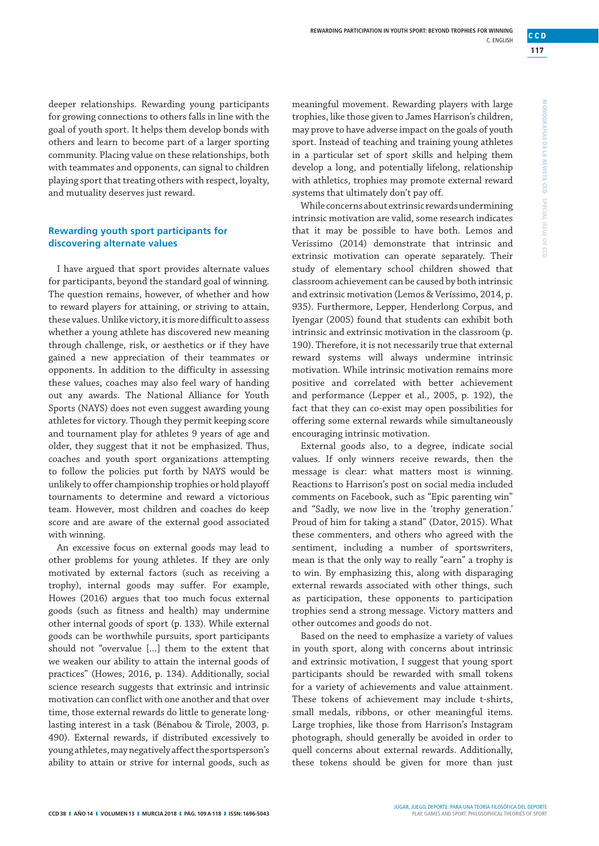**117** 

**CCD**

deeper relationships. Rewarding young participants for growing connections to others falls in line with the goal of youth sport. It helps them develop bonds with others and learn to become part of a larger sporting community. Placing value on these relationships, both with teammates and opponents, can signal to children playing sport that treating others with respect, loyalty,

**Rewarding youth sport participants for discovering alternate values**

and mutuality deserves just reward.

I have argued that sport provides alternate values for participants, beyond the standard goal of winning. The question remains, however, of whether and how to reward players for attaining, or striving to attain, these values. Unlike victory, it is more difficult to assess whether a young athlete has discovered new meaning through challenge, risk, or aesthetics or if they have gained a new appreciation of their teammates or opponents. In addition to the difficulty in assessing these values, coaches may also feel wary of handing out any awards. The National Alliance for Youth Sports (NAYS) does not even suggest awarding young athletes for victory. Though they permit keeping score and tournament play for athletes 9 years of age and older, they suggest that it not be emphasized. Thus, coaches and youth sport organizations attempting to follow the policies put forth by NAYS would be unlikely to offer championship trophies or hold playoff tournaments to determine and reward a victorious team. However, most children and coaches do keep score and are aware of the external good associated with winning.

An excessive focus on external goods may lead to other problems for young athletes. If they are only motivated by external factors (such as receiving a trophy), internal goods may suffer. For example, Howes (2016) argues that too much focus external goods (such as fitness and health) may undermine other internal goods of sport (p. 133). While external goods can be worthwhile pursuits, sport participants should not "overvalue […] them to the extent that we weaken our ability to attain the internal goods of practices" (Howes, 2016, p. 134). Additionally, social science research suggests that extrinsic and intrinsic motivation can conflict with one another and that over time, those external rewards do little to generate longlasting interest in a task (Bénabou & Tirole, 2003, p. 490). External rewards, if distributed excessively to young athletes, may negatively affect the sportsperson's ability to attain or strive for internal goods, such as

meaningful movement. Rewarding players with large trophies, like those given to James Harrison's children, may prove to have adverse impact on the goals of youth sport. Instead of teaching and training young athletes in a particular set of sport skills and helping them develop a long, and potentially lifelong, relationship with athletics, trophies may promote external reward systems that ultimately don't pay off.

While concerns about extrinsic rewards undermining intrinsic motivation are valid, some research indicates that it may be possible to have both. Lemos and Veríssimo (2014) demonstrate that intrinsic and extrinsic motivation can operate separately. Their study of elementary school children showed that classroom achievement can be caused by both intrinsic and extrinsic motivation (Lemos & Veríssimo, 2014, p. 935). Furthermore, Lepper, Henderlong Corpus, and Iyengar (2005) found that students can exhibit both intrinsic and extrinsic motivation in the classroom (p. 190). Therefore, it is not necessarily true that external reward systems will always undermine intrinsic motivation. While intrinsic motivation remains more positive and correlated with better achievement and performance (Lepper et al., 2005, p. 192), the fact that they can co-exist may open possibilities for offering some external rewards while simultaneously encouraging intrinsic motivation.

External goods also, to a degree, indicate social values. If only winners receive rewards, then the message is clear: what matters most is winning. Reactions to Harrison's post on social media included comments on Facebook, such as "Epic parenting win" and "Sadly, we now live in the 'trophy generation.' Proud of him for taking a stand" (Dator, 2015). What these commenters, and others who agreed with the sentiment, including a number of sportswriters, mean is that the only way to really "earn" a trophy is to win. By emphasizing this, along with disparaging external rewards associated with other things, such as participation, these opponents to participation trophies send a strong message. Victory matters and other outcomes and goods do not.

Based on the need to emphasize a variety of values in youth sport, along with concerns about intrinsic and extrinsic motivation, I suggest that young sport participants should be rewarded with small tokens for a variety of achievements and value attainment. These tokens of achievement may include t-shirts, small medals, ribbons, or other meaningful items. Large trophies, like those from Harrison's Instagram photograph, should generally be avoided in order to quell concerns about external rewards. Additionally, these tokens should be given for more than just